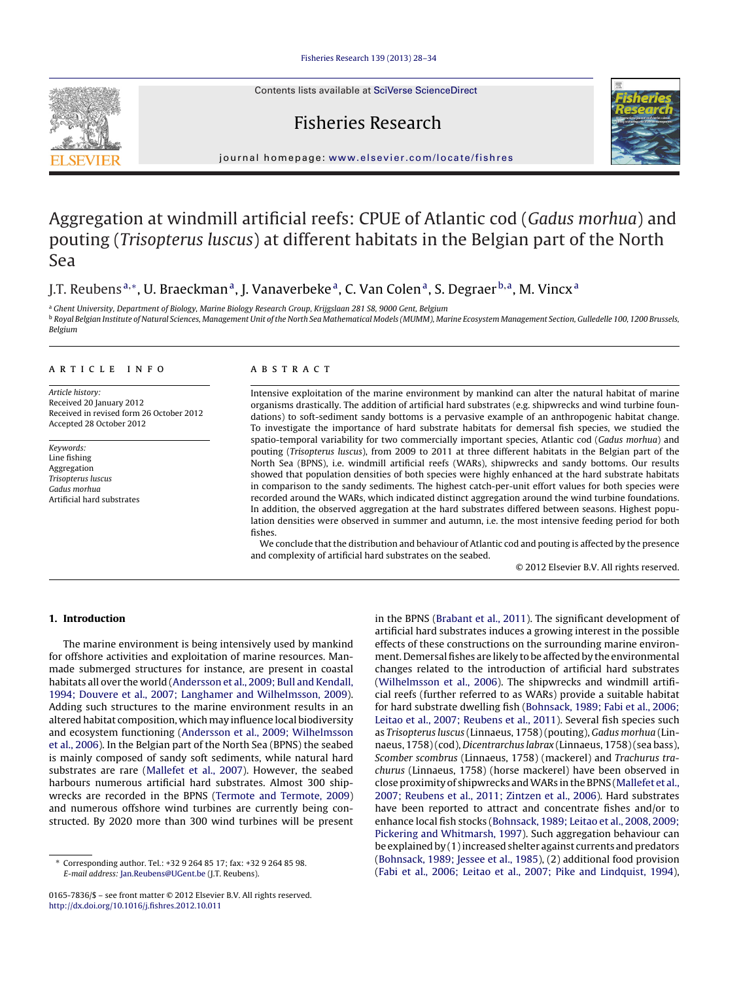Contents lists available at SciVerse [ScienceDirect](http://www.sciencedirect.com/science/journal/01657836)







jour nal homepage: [www.elsevier.com/locate/fishres](http://www.elsevier.com/locate/fishres)

# Aggregation at windmill artificial reefs: CPUE of Atlantic cod (Gadus morhua) and pouting (Trisopterus luscus) at different habitats in the Belgian part of the North Sea

# J.T. Reubens<sup>a,∗</sup>, U. Braeckman<sup>a</sup>, J. Vanaverbeke<sup>a</sup>, C. Van Colen<sup>a</sup>, S. Degraer<sup>b,a</sup>, M. Vincx<sup>a</sup>

<sup>a</sup> Ghent University, Department of Biology, Marine Biology Research Group, Krijgslaan 281 S8, 9000 Gent, Belgium <sup>b</sup> Royal Belgian Institute of Natural Sciences, Management Unit of the North Sea Mathematical Models (MUMM), Marine Ecosystem Management Section, Gulledelle 100, 1200 Brussels, Belgium

### a r t i c l e i n f o

Article history: Received 20 January 2012 Received in revised form 26 October 2012 Accepted 28 October 2012

Keywords: Line fishing Aggregation Trisopterus luscus Gadus morhua Artificial hard substrates

# A B S T R A C T

Intensive exploitation of the marine environment by mankind can alter the natural habitat of marine organisms drastically. The addition of artificial hard substrates (e.g. shipwrecks and wind turbine foundations) to soft-sediment sandy bottoms is a pervasive example of an anthropogenic habitat change. To investigate the importance of hard substrate habitats for demersal fish species, we studied the spatio-temporal variability for two commercially important species, Atlantic cod (Gadus morhua) and pouting (Trisopterus luscus), from 2009 to 2011 at three different habitats in the Belgian part of the North Sea (BPNS), i.e. windmill artificial reefs (WARs), shipwrecks and sandy bottoms. Our results showed that population densities of both species were highly enhanced at the hard substrate habitats in comparison to the sandy sediments. The highest catch-per-unit effort values for both species were recorded around the WARs, which indicated distinct aggregation around the wind turbine foundations. In addition, the observed aggregation at the hard substrates differed between seasons. Highest population densities were observed in summer and autumn, i.e. the most intensive feeding period for both fishes.

We conclude that the distribution and behaviour of Atlantic cod and pouting is affected by the presence and complexity of artificial hard substrates on the seabed.

© 2012 Elsevier B.V. All rights reserved.

# **1. Introduction**

The marine environment is being intensively used by mankind for offshore activities and exploitation of marine resources. Manmade submerged structures for instance, are present in coastal habitats all over the world [\(Andersson](#page-5-0) et [al.,](#page-5-0) [2009;](#page-5-0) [Bull](#page-5-0) [and](#page-5-0) [Kendall,](#page-5-0) [1994;](#page-5-0) [Douvere](#page-5-0) et [al.,](#page-5-0) [2007;](#page-5-0) [Langhamer](#page-5-0) [and](#page-5-0) [Wilhelmsson,](#page-5-0) [2009\).](#page-5-0) Adding such structures to the marine environment results in an altered habitat composition, which may influence local biodiversity and ecosystem functioning ([Andersson](#page-5-0) et [al.,](#page-5-0) [2009;](#page-5-0) [Wilhelmsson](#page-5-0) et [al.,](#page-5-0) [2006\).](#page-5-0) In the Belgian part of the North Sea (BPNS) the seabed is mainly composed of sandy soft sediments, while natural hard substrates are rare [\(Mallefet](#page-5-0) et [al.,](#page-5-0) [2007\).](#page-5-0) However, the seabed harbours numerous artificial hard substrates. Almost 300 shipwrecks are recorded in the BPNS ([Termote](#page-6-0) [and](#page-6-0) [Termote,](#page-6-0) [2009\)](#page-6-0) and numerous offshore wind turbines are currently being constructed. By 2020 more than 300 wind turbines will be present

in the BPNS ([Brabant](#page-5-0) et [al.,](#page-5-0) [2011\).](#page-5-0) The significant development of artificial hard substrates induces a growing interest in the possible effects of these constructions on the surrounding marine environment. Demersal fishes are likely to be affected by the environmental changes related to the introduction of artificial hard substrates [\(Wilhelmsson](#page-6-0) et [al.,](#page-6-0) [2006\).](#page-6-0) The shipwrecks and windmill artificial reefs (further referred to as WARs) provide a suitable habitat for hard substrate dwelling fish [\(Bohnsack,](#page-5-0) [1989;](#page-5-0) [Fabi](#page-5-0) et [al.,](#page-5-0) [2006;](#page-5-0) [Leitao](#page-5-0) et [al.,](#page-5-0) [2007;](#page-5-0) [Reubens](#page-5-0) et [al.,](#page-5-0) [2011\).](#page-5-0) Several fish species such as Trisopterus luscus (Linnaeus, 1758)(pouting), Gadus morhua (Linnaeus, 1758)(cod), Dicentrarchus labrax (Linnaeus, 1758)(sea bass), Scomber scombrus (Linnaeus, 1758) (mackerel) and Trachurus trachurus (Linnaeus, 1758) (horse mackerel) have been observed in close proximity of shipwrecks and WARs in the BPNS ([Mallefet](#page-5-0) et [al.,](#page-5-0) [2007;](#page-5-0) [Reubens](#page-5-0) et [al.,](#page-5-0) [2011;](#page-5-0) [Zintzen](#page-5-0) et [al.,](#page-5-0) [2006\).](#page-5-0) Hard substrates have been reported to attract and concentrate fishes and/or to enhance local fish stocks ([Bohnsack,](#page-5-0) [1989;](#page-5-0) [Leitao](#page-5-0) et [al.,](#page-5-0) [2008,](#page-5-0) [2009;](#page-5-0) [Pickering](#page-5-0) [and](#page-5-0) [Whitmarsh,](#page-5-0) [1997\).](#page-5-0) Such aggregation behaviour can be explained by (1)increased shelter against currents and predators [\(Bohnsack,](#page-5-0) [1989;](#page-5-0) [Jessee](#page-5-0) et [al.,](#page-5-0) [1985\),](#page-5-0) (2) additional food provision [\(Fabi](#page-5-0) et [al.,](#page-5-0) [2006;](#page-5-0) [Leitao](#page-5-0) et [al.,](#page-5-0) [2007;](#page-5-0) [Pike](#page-5-0) [and](#page-5-0) [Lindquist,](#page-5-0) [1994\),](#page-5-0)

<sup>∗</sup> Corresponding author. Tel.: +32 9 264 85 17; fax: +32 9 264 85 98. E-mail address: [Jan.Reubens@UGent.be](mailto:Jan.Reubens@UGent.be) (J.T. Reubens).

<sup>0165-7836/\$</sup> – see front matter © 2012 Elsevier B.V. All rights reserved. [http://dx.doi.org/10.1016/j.fishres.2012.10.011](dx.doi.org/10.1016/j.fishres.2012.10.011)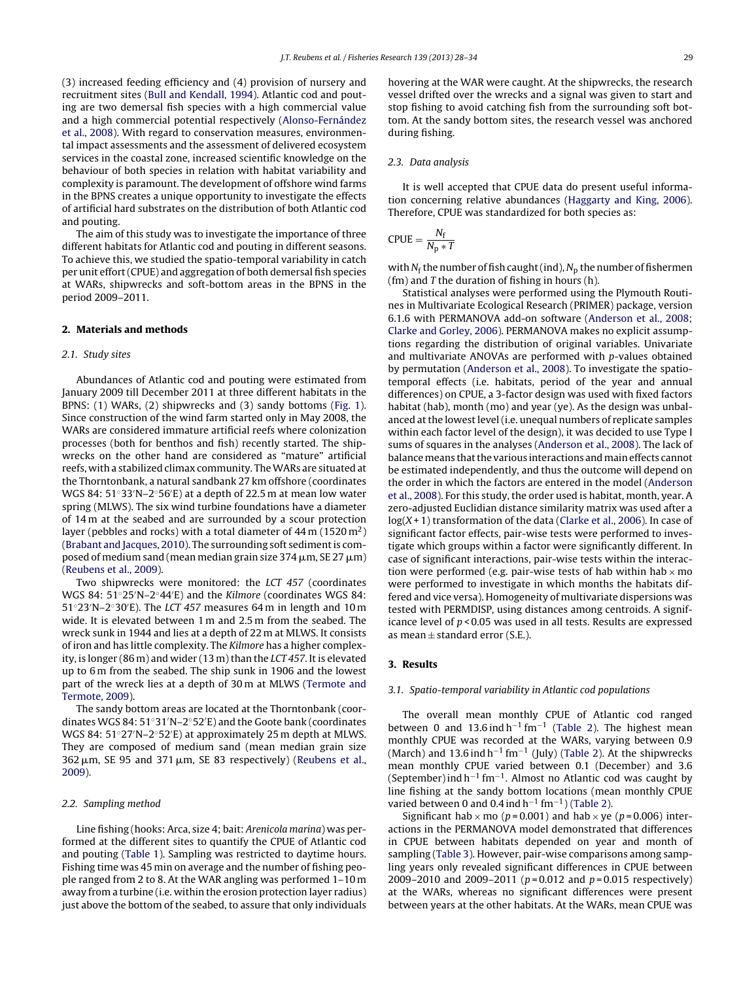(3) increased feeding efficiency and (4) provision of nursery and recruitment sites ([Bull](#page-5-0) [and](#page-5-0) [Kendall,](#page-5-0) [1994\).](#page-5-0) Atlantic cod and pouting are two demersal fish species with a high commercial value and a high commercial potential respectively [\(Alonso-Fernández](#page-5-0) et [al.,](#page-5-0) [2008\).](#page-5-0) With regard to conservation measures, environmental impact assessments and the assessment of delivered ecosystem services in the coastal zone, increased scientific knowledge on the behaviour of both species in relation with habitat variability and complexity is paramount. The development of offshore wind farms in the BPNS creates a unique opportunity to investigate the effects of artificial hard substrates on the distribution of both Atlantic cod and pouting.

The aim of this study was to investigate the importance of three different habitats for Atlantic cod and pouting in different seasons. To achieve this, we studied the spatio-temporal variability in catch per unit effort(CPUE) and aggregation of both demersal fish species at WARs, shipwrecks and soft-bottom areas in the BPNS in the period 2009–2011.

#### **2. Materials and methods**

# 2.1. Study sites

Abundances of Atlantic cod and pouting were estimated from January 2009 till December 2011 at three different habitats in the BPNS: (1) WARs, (2) shipwrecks and (3) sandy bottoms [\(Fig.](#page-2-0) 1). Since construction of the wind farm started only in May 2008, the WARs are considered immature artificial reefs where colonization processes (both for benthos and fish) recently started. The shipwrecks on the other hand are considered as "mature" artificial reefs, with a stabilized climax community. TheWARs are situated at the Thorntonbank, a natural sandbank 27 km offshore (coordinates WGS 84: 51◦33 N–2◦56 E) at a depth of 22.5 m at mean low water spring (MLWS). The six wind turbine foundations have a diameter of 14 m at the seabed and are surrounded by a scour protection layer (pebbles and rocks) with a total diameter of  $44 \text{ m}$  (1520 m<sup>2</sup>) ([Brabant](#page-5-0) [and](#page-5-0) [Jacques,](#page-5-0) [2010\).](#page-5-0) The surrounding soft sedimentis composed of medium sand (mean median grain size 374  $\mu$ m, SE 27  $\mu$ m) ([Reubens](#page-5-0) et [al.,](#page-5-0) [2009\).](#page-5-0)

Two shipwrecks were monitored: the LCT 457 (coordinates WGS 84: 51◦25 N–2◦44 E) and the Kilmore (coordinates WGS 84: 51°23′N–2°30′E). The *LCT* 457 measures 64 m in length and 10 m wide. It is elevated between 1 m and 2.5 m from the seabed. The wreck sunk in 1944 and lies at a depth of 22 m at MLWS. It consists of iron and has little complexity. The Kilmore has a higher complexity, is longer  $(86 \text{ m})$  and wider  $(13 \text{ m})$  than the LCT 457. It is elevated up to 6 m from the seabed. The ship sunk in 1906 and the lowest part of the wreck lies at a depth of 30 m at MLWS ([Termote](#page-6-0) [and](#page-6-0) [Termote,](#page-6-0) [2009\).](#page-6-0)

The sandy bottom areas are located at the Thorntonbank (coordinates WGS 84: 51◦31 N–2◦52 E) and the Goote bank (coordinates WGS 84: 51°27′N–2°52′E) at approximately 25 m depth at MLWS. They are composed of medium sand (mean median grain size  $362 \,\rm \mu m$ , SE 95 and 371  $\rm \mu m$ , SE 83 respectively) [\(Reubens](#page-5-0) et [al.,](#page-5-0) [2009\).](#page-5-0)

#### 2.2. Sampling method

Line fishing (hooks: Arca, size 4; bait: Arenicola marina) was performed at the different sites to quantify the CPUE of Atlantic cod and pouting [\(Table](#page-2-0) 1). Sampling was restricted to daytime hours. Fishing time was 45 min on average and the number of fishing people ranged from 2 to 8. At the WAR angling was performed 1–10 m away from a turbine (i.e. within the erosion protection layer radius) just above the bottom of the seabed, to assure that only individuals

hovering at the WAR were caught. At the shipwrecks, the research vessel drifted over the wrecks and a signal was given to start and stop fishing to avoid catching fish from the surrounding soft bottom. At the sandy bottom sites, the research vessel was anchored during fishing.

#### 2.3. Data analysis

It is well accepted that CPUE data do present useful information concerning relative abundances [\(Haggarty](#page-5-0) [and](#page-5-0) [King,](#page-5-0) [2006\).](#page-5-0) Therefore, CPUE was standardized for both species as:

$$
CPUE = \frac{N_f}{N_p * T}
$$

with  $N_f$  the number of fish caught (ind),  $N_p$  the number of fishermen (fm) and  $T$  the duration of fishing in hours (h).

Statistical analyses were performed using the Plymouth Routines in Multivariate Ecological Research (PRIMER) package, version 6.1.6 with PERMANOVA add-on software ([Anderson](#page-5-0) et [al.,](#page-5-0) [2008;](#page-5-0) [Clarke](#page-5-0) [and](#page-5-0) [Gorley,](#page-5-0) [2006\).](#page-5-0) PERMANOVA makes no explicit assumptions regarding the distribution of original variables. Univariate and multivariate ANOVAs are performed with p-values obtained by permutation ([Anderson](#page-5-0) et [al.,](#page-5-0) [2008\).](#page-5-0) To investigate the spatiotemporal effects (i.e. habitats, period of the year and annual differences) on CPUE, a 3-factor design was used with fixed factors habitat (hab), month (mo) and year (ye). As the design was unbalanced at the lowest level (i.e. unequal numbers of replicate samples within each factor level of the design), it was decided to use Type I sums of squares in the analyses [\(Anderson](#page-5-0) et [al.,](#page-5-0) [2008\).](#page-5-0) The lack of balance means that the various interactions and main effects cannot be estimated independently, and thus the outcome will depend on the order in which the factors are entered in the model [\(Anderson](#page-5-0) et [al.,](#page-5-0) [2008\).](#page-5-0) For this study, the order used is habitat, month, year. A zero-adjusted Euclidian distance similarity matrix was used after a  $log(X + 1)$  transformation of the data [\(Clarke](#page-5-0) et [al.,](#page-5-0) [2006\).](#page-5-0) In case of significant factor effects, pair-wise tests were performed to investigate which groups within a factor were significantly different. In case of significant interactions, pair-wise tests within the interaction were performed (e.g. pair-wise tests of hab within hab  $\times$  mo were performed to investigate in which months the habitats differed and vice versa). Homogeneity of multivariate dispersions was tested with PERMDISP, using distances among centroids. A significance level of  $p < 0.05$  was used in all tests. Results are expressed as mean  $\pm$  standard error (S.E.).

# **3. Results**

#### 3.1. Spatio-temporal variability in Atlantic cod populations

The overall mean monthly CPUE of Atlantic cod ranged between 0 and 13.6 ind h−<sup>1</sup> fm−<sup>1</sup> ([Table](#page-2-0) 2). The highest mean monthly CPUE was recorded at the WARs, varying between 0.9 (March) and 13.6 ind h−<sup>1</sup> fm−<sup>1</sup> (July) ([Table](#page-2-0) 2). At the shipwrecks mean monthly CPUE varied between 0.1 (December) and 3.6 (September)ind h−<sup>1</sup> fm−1. Almost no Atlantic cod was caught by line fishing at the sandy bottom locations (mean monthly CPUE varied between 0 and 0.4 ind h<sup>-1</sup> fm<sup>-1</sup>) ([Table](#page-2-0) 2).

Significant hab  $\times$  mo (p=0.001) and hab  $\times$  ye (p=0.006) interactions in the PERMANOVA model demonstrated that differences in CPUE between habitats depended on year and month of sampling [\(Table](#page-3-0) 3). However, pair-wise comparisons among sampling years only revealed significant differences in CPUE between 2009–2010 and 2009–2011 ( $p = 0.012$  and  $p = 0.015$  respectively) at the WARs, whereas no significant differences were present between years at the other habitats. At the WARs, mean CPUE was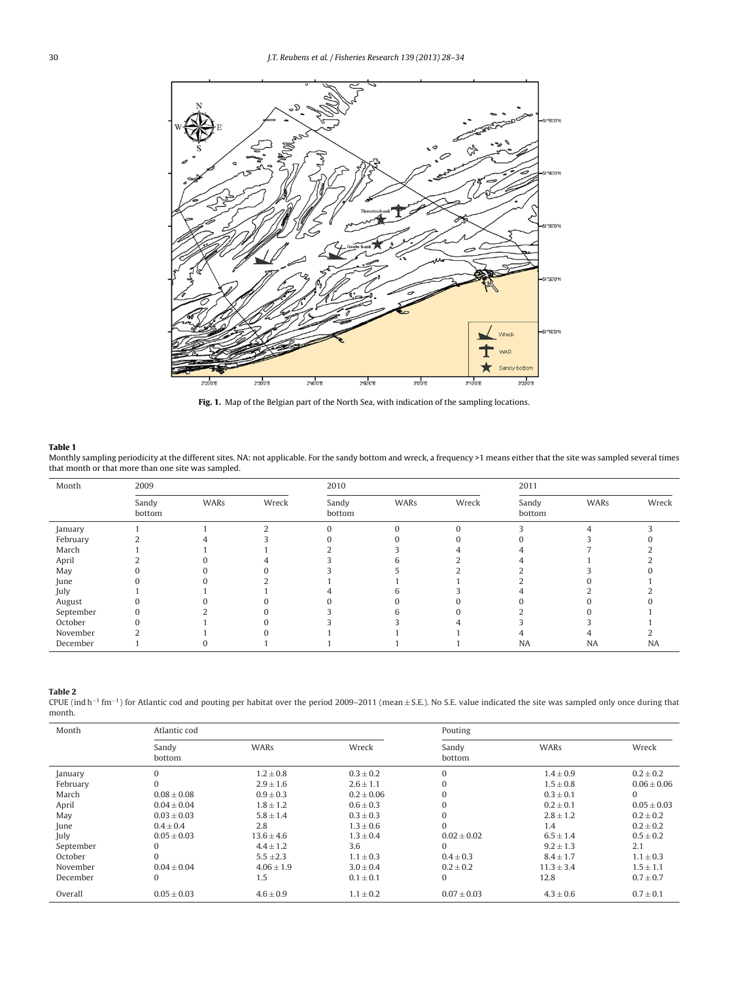<span id="page-2-0"></span>

**Fig. 1.** Map of the Belgian part of the North Sea, with indication of the sampling locations.

# **Table 1**

Monthly sampling periodicity at the different sites. NA: not applicable. For the sandy bottom and wreck, a frequency >1 means either that the site was sampled several times that month or that more than one site was sampled.

| Month     | 2009            |             |       | 2010            |          |          | 2011            |             |       |
|-----------|-----------------|-------------|-------|-----------------|----------|----------|-----------------|-------------|-------|
|           | Sandy<br>bottom | <b>WARs</b> | Wreck | Sandy<br>bottom | WARs     | Wreck    | Sandy<br>bottom | <b>WARs</b> | Wreck |
| January   |                 |             |       | $\Omega$        | $\Omega$ | $\Omega$ | n               |             |       |
| February  |                 |             |       |                 |          |          |                 |             |       |
| March     |                 |             |       |                 |          |          |                 |             |       |
| April     |                 |             |       |                 |          |          |                 |             |       |
| May       |                 |             |       |                 |          |          |                 |             |       |
| June      |                 |             |       |                 |          |          |                 |             |       |
| July      |                 |             |       |                 |          |          |                 |             |       |
| August    |                 |             |       |                 |          |          |                 |             |       |
| September |                 |             |       |                 |          |          |                 |             |       |
| October   |                 |             |       |                 |          |          |                 |             |       |
| November  |                 |             |       |                 |          |          | 4               |             |       |
| December  |                 |             |       |                 |          |          | <b>NA</b>       | <b>NA</b>   | NA    |

**Table 2**

CPUE (ind h<sup>−1</sup> fm<sup>−1</sup>) for Atlantic cod and pouting per habitat over the period 2009–2011 (mean±S.E.). No S.E. value indicated the site was sampled only once during that<br>month.

| Month     | Atlantic cod    |                |                | Pouting         |                |                 |  |  |
|-----------|-----------------|----------------|----------------|-----------------|----------------|-----------------|--|--|
|           | Sandy<br>bottom | <b>WARs</b>    | Wreck          | Sandy<br>bottom | <b>WARs</b>    | Wreck           |  |  |
| January   | $\overline{0}$  | $1.2 \pm 0.8$  | $0.3 \pm 0.2$  | $\Omega$        | $1.4 \pm 0.9$  | $0.2 \pm 0.2$   |  |  |
| February  | $\Omega$        | $2.9 \pm 1.6$  | $2.6 \pm 1.1$  | $\Omega$        | $1.5 \pm 0.8$  | $0.06 \pm 0.06$ |  |  |
| March     | $0.08 + 0.08$   | $0.9 \pm 0.3$  | $0.2 \pm 0.06$ | $\Omega$        | $0.3 \pm 0.1$  | $\Omega$        |  |  |
| April     | $0.04 \pm 0.04$ | $1.8 \pm 1.2$  | $0.6 \pm 0.3$  | $\Omega$        | $0.2 \pm 0.1$  | $0.05 \pm 0.03$ |  |  |
| May       | $0.03 \pm 0.03$ | $5.8 \pm 1.4$  | $0.3 \pm 0.3$  | $\Omega$        | $2.8 \pm 1.2$  | $0.2 \pm 0.2$   |  |  |
| June      | $0.4 \pm 0.4$   | 2.8            | $1.3 \pm 0.6$  | $\Omega$        | 1.4            | $0.2 \pm 0.2$   |  |  |
| July      | $0.05 \pm 0.03$ | $13.6 \pm 4.6$ | $1.3 \pm 0.4$  | $0.02 \pm 0.02$ | $6.5 \pm 1.4$  | $0.5 \pm 0.2$   |  |  |
| September | 0               | $4.4 \pm 1.2$  | 3.6            | $\Omega$        | $9.2 \pm 1.3$  | 2.1             |  |  |
| October   | $\Omega$        | $5.5 \pm 2.3$  | $1.1 \pm 0.3$  | $0.4 \pm 0.3$   | $8.4 \pm 1.7$  | $1.1 \pm 0.3$   |  |  |
| November  | $0.04 + 0.04$   | $4.06 \pm 1.9$ | $3.0 \pm 0.4$  | $0.2 \pm 0.2$   | $11.3 \pm 3.4$ | $1.5 \pm 1.1$   |  |  |
| December  | 0               | 1.5            | $0.1 \pm 0.1$  | $\mathbf{0}$    | 12.8           | $0.7 \pm 0.7$   |  |  |
| Overall   | $0.05 \pm 0.03$ | $4.6 \pm 0.9$  | $1.1 \pm 0.2$  | $0.07 \pm 0.03$ | $4.3 \pm 0.6$  | $0.7 \pm 0.1$   |  |  |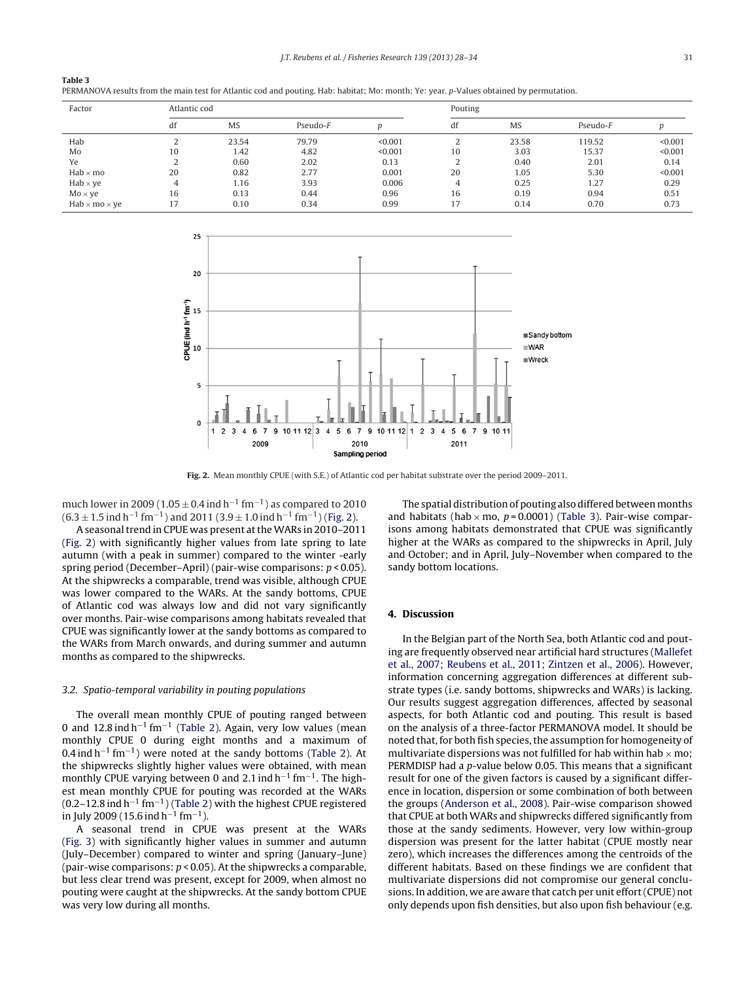<span id="page-3-0"></span>

| Table 3   |       |                                                                                                                                         |
|-----------|-------|-----------------------------------------------------------------------------------------------------------------------------------------|
|           |       | PERMANOVA results from the main test for Atlantic cod and pouting. Hab: habitat; Mo: month; Ye: year. p-Values obtained by permutation. |
| $E$ actor | $A+1$ | $D_{0}$                                                                                                                                 |

| Factor                    | Atlantic cod |           |          |         | Pouting |           |          |         |  |
|---------------------------|--------------|-----------|----------|---------|---------|-----------|----------|---------|--|
|                           | df           | <b>MS</b> | Pseudo-F |         | df      | <b>MS</b> | Pseudo-F |         |  |
| Hab                       |              | 23.54     | 79.79    | < 0.001 |         | 23.58     | 119.52   | < 0.001 |  |
| Mo                        | 10           | 1.42      | 4.82     | < 0.001 | 10      | 3.03      | 15.37    | < 0.001 |  |
| Ye                        |              | 0.60      | 2.02     | 0.13    |         | 0.40      | 2.01     | 0.14    |  |
| $Hab \times m$ o          | 20           | 0.82      | 2.77     | 0.001   | 20      | 1.05      | 5.30     | < 0.001 |  |
| $Hab \times ye$           |              | 1.16      | 3.93     | 0.006   |         | 0.25      | 1.27     | 0.29    |  |
| $Mo \times ye$            | 16           | 0.13      | 0.44     | 0.96    | 16      | 0.19      | 0.94     | 0.51    |  |
| $Hab \times mo \times ye$ |              | 0.10      | 0.34     | 0.99    |         | 0.14      | 0.70     | 0.73    |  |
|                           |              |           |          |         |         |           |          |         |  |



**Fig. 2.** Mean monthly CPUE (with S.E.) of Atlantic cod per habitat substrate over the period 2009–2011.

much lower in 2009 (1.05  $\pm$  0.4 ind h<sup>-1</sup> fm<sup>-1</sup>) as compared to 2010  $(6.3 \pm 1.5 \text{ ind } h^{-1} \text{ fm}^{-1})$  and 2011  $(3.9 \pm 1.0 \text{ ind } h^{-1} \text{ fm}^{-1})$  (Fig. 2).

A seasonal trend in CPUE was present at the WARs in 2010-2011 (Fig. 2) with significantly higher values from late spring to late autumn (with a peak in summer) compared to the winter -early spring period (December–April) (pair-wise comparisons: p < 0.05). At the shipwrecks a comparable, trend was visible, although CPUE was lower compared to the WARs. At the sandy bottoms, CPUE of Atlantic cod was always low and did not vary significantly over months. Pair-wise comparisons among habitats revealed that CPUE was significantly lower at the sandy bottoms as compared to the WARs from March onwards, and during summer and autumn months as compared to the shipwrecks.

# 3.2. Spatio-temporal variability in pouting populations

The overall mean monthly CPUE of pouting ranged between 0 and 12.8 ind h−<sup>1</sup> fm−<sup>1</sup> ([Table](#page-2-0) 2). Again, very low values (mean monthly CPUE 0 during eight months and a maximum of  $0.4$  ind h<sup>-1</sup> fm<sup>-1</sup>) were noted at the sandy bottoms ([Table](#page-2-0) 2). At the shipwrecks slightly higher values were obtained, with mean monthly CPUE varying between 0 and 2.1 ind h<sup>-1</sup> fm<sup>-1</sup>. The highest mean monthly CPUE for pouting was recorded at the WARs  $(0.2–12.8$  ind h<sup>-1</sup> fm<sup>-1</sup>) [\(Table](#page-2-0) 2) with the highest CPUE registered in July 2009 (15.6 ind h<sup>-1</sup> fm<sup>-1</sup>).

A seasonal trend in CPUE was present at the WARs ([Fig.](#page-4-0) 3) with significantly higher values in summer and autumn (July–December) compared to winter and spring (January–June) (pair-wise comparisons:  $p < 0.05$ ). At the shipwrecks a comparable, but less clear trend was present, except for 2009, when almost no pouting were caught at the shipwrecks. At the sandy bottom CPUE was very low during all months.

The spatial distribution of pouting also differed between months and habitats (hab  $\times$  mo, p = 0.0001) (Table 3). Pair-wise comparisons among habitats demonstrated that CPUE was significantly higher at the WARs as compared to the shipwrecks in April, July and October; and in April, July–November when compared to the sandy bottom locations.

# **4. Discussion**

In the Belgian part of the North Sea, both Atlantic cod and pouting are frequently observed near artificial hard structures [\(Mallefet](#page-5-0) et [al.,](#page-5-0) [2007;](#page-5-0) [Reubens](#page-5-0) et [al.,](#page-5-0) [2011;](#page-5-0) [Zintzen](#page-5-0) et [al.,](#page-5-0) [2006\).](#page-5-0) However, information concerning aggregation differences at different substrate types (i.e. sandy bottoms, shipwrecks and WARs) is lacking. Our results suggest aggregation differences, affected by seasonal aspects, for both Atlantic cod and pouting. This result is based on the analysis of a three-factor PERMANOVA model. It should be noted that, for both fish species, the assumption for homogeneity of multivariate dispersions was not fulfilled for hab within hab  $\times$  mo; PERMDISP had a p-value below 0.05. This means that a significant result for one of the given factors is caused by a significant difference in location, dispersion or some combination of both between the groups [\(Anderson](#page-5-0) et [al.,](#page-5-0) [2008\).](#page-5-0) Pair-wise comparison showed that CPUE at both WARs and shipwrecks differed significantly from those at the sandy sediments. However, very low within-group dispersion was present for the latter habitat (CPUE mostly near zero), which increases the differences among the centroids of the different habitats. Based on these findings we are confident that multivariate dispersions did not compromise our general conclusions. In addition, we are aware that catch per unit effort(CPUE) not only depends upon fish densities, but also upon fish behaviour (e.g.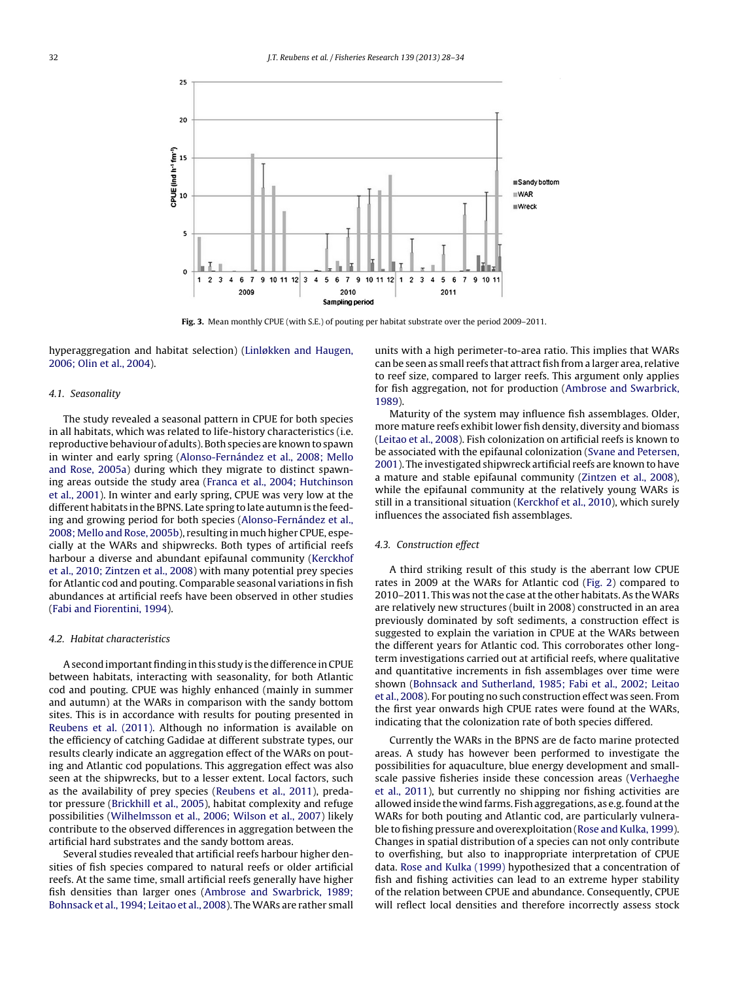<span id="page-4-0"></span>

**Fig. 3.** Mean monthly CPUE (with S.E.) of pouting per habitat substrate over the period 2009–2011.

hyperaggregation and habitat selection) [\(Linløkken](#page-5-0) [and](#page-5-0) [Haugen,](#page-5-0) [2006;](#page-5-0) [Olin](#page-5-0) et [al.,](#page-5-0) [2004\).](#page-5-0)

#### 4.1. Seasonality

The study revealed a seasonal pattern in CPUE for both species in all habitats, which was related to life-history characteristics (i.e. reproductive behaviour of adults). Both species are known to spawn in winter and early spring [\(Alonso-Fernández](#page-5-0) et [al.,](#page-5-0) [2008;](#page-5-0) [Mello](#page-5-0) [and](#page-5-0) [Rose,](#page-5-0) [2005a\)](#page-5-0) during which they migrate to distinct spawning areas outside the study area [\(Franca](#page-5-0) et [al.,](#page-5-0) [2004;](#page-5-0) [Hutchinson](#page-5-0) et [al.,](#page-5-0) [2001\).](#page-5-0) In winter and early spring, CPUE was very low at the different habitats in the BPNS. Late spring to late autumn is the feeding and growing period for both species [\(Alonso-Fernández](#page-5-0) et [al.,](#page-5-0) [2008;](#page-5-0) [Mello](#page-5-0) [and](#page-5-0) [Rose,](#page-5-0) [2005b\),](#page-5-0) resulting in much higher CPUE, especially at the WARs and shipwrecks. Both types of artificial reefs harbour a diverse and abundant epifaunal community [\(Kerckhof](#page-5-0) et [al.,](#page-5-0) [2010;](#page-5-0) [Zintzen](#page-5-0) et [al.,](#page-5-0) [2008\)](#page-5-0) with many potential prey species for Atlantic cod and pouting. Comparable seasonal variations in fish abundances at artificial reefs have been observed in other studies ([Fabi](#page-5-0) [and](#page-5-0) [Fiorentini,](#page-5-0) [1994\).](#page-5-0)

# 4.2. Habitat characteristics

A second important finding in this study is the difference in CPUE between habitats, interacting with seasonality, for both Atlantic cod and pouting. CPUE was highly enhanced (mainly in summer and autumn) at the WARs in comparison with the sandy bottom sites. This is in accordance with results for pouting presented in [Reubens](#page-5-0) et [al.](#page-5-0) [\(2011\).](#page-5-0) Although no information is available on the efficiency of catching Gadidae at different substrate types, our results clearly indicate an aggregation effect of the WARs on pouting and Atlantic cod populations. This aggregation effect was also seen at the shipwrecks, but to a lesser extent. Local factors, such as the availability of prey species [\(Reubens](#page-5-0) et [al.,](#page-5-0) [2011\),](#page-5-0) predator pressure ([Brickhill](#page-5-0) et [al.,](#page-5-0) [2005\),](#page-5-0) habitat complexity and refuge possibilities [\(Wilhelmsson](#page-6-0) et [al.,](#page-6-0) [2006;](#page-6-0) [Wilson](#page-6-0) et [al.,](#page-6-0) [2007\)](#page-6-0) likely contribute to the observed differences in aggregation between the artificial hard substrates and the sandy bottom areas.

Several studies revealed that artificial reefs harbour higher densities of fish species compared to natural reefs or older artificial reefs. At the same time, small artificial reefs generally have higher fish densities than larger ones ([Ambrose](#page-5-0) [and](#page-5-0) [Swarbrick,](#page-5-0) [1989;](#page-5-0) [Bohnsack](#page-5-0) et [al.,](#page-5-0) [1994;](#page-5-0) [Leitao](#page-5-0) et [al.,](#page-5-0) [2008\).](#page-5-0) TheWARs are rather small

units with a high perimeter-to-area ratio. This implies that WARs can be seen as small reefs that attract fish from a larger area, relative to reef size, compared to larger reefs. This argument only applies for fish aggregation, not for production ([Ambrose](#page-5-0) [and](#page-5-0) [Swarbrick,](#page-5-0) [1989\).](#page-5-0)

Maturity of the system may influence fish assemblages. Older, more mature reefs exhibit lower fish density, diversity and biomass [\(Leitao](#page-5-0) et [al.,](#page-5-0) [2008\).](#page-5-0) Fish colonization on artificial reefs is known to be associated with the epifaunal colonization [\(Svane](#page-6-0) [and](#page-6-0) [Petersen,](#page-6-0) [2001\).](#page-6-0) The investigated shipwreck artificial reefs are known to have a mature and stable epifaunal community [\(Zintzen](#page-6-0) et [al.,](#page-6-0) [2008\),](#page-6-0) while the epifaunal community at the relatively young WARs is still in a transitional situation ([Kerckhof](#page-5-0) et [al.,](#page-5-0) [2010\),](#page-5-0) which surely influences the associated fish assemblages.

#### 4.3. Construction effect

A third striking result of this study is the aberrant low CPUE rates in 2009 at the WARs for Atlantic cod [\(Fig.](#page-3-0) 2) compared to 2010–2011. This was not the case at the other habitats. As the WARs are relatively new structures (built in 2008) constructed in an area previously dominated by soft sediments, a construction effect is suggested to explain the variation in CPUE at the WARs between the different years for Atlantic cod. This corroborates other longterm investigations carried out at artificial reefs, where qualitative and quantitative increments in fish assemblages over time were shown [\(Bohnsack](#page-5-0) [and](#page-5-0) [Sutherland,](#page-5-0) [1985;](#page-5-0) [Fabi](#page-5-0) et [al.,](#page-5-0) [2002;](#page-5-0) [Leitao](#page-5-0) et [al.,](#page-5-0) [2008\).](#page-5-0) For pouting no such construction effect was seen. From the first year onwards high CPUE rates were found at the WARs, indicating that the colonization rate of both species differed.

Currently the WARs in the BPNS are de facto marine protected areas. A study has however been performed to investigate the possibilities for aquaculture, blue energy development and smallscale passive fisheries inside these concession areas [\(Verhaeghe](#page-6-0) et [al.,](#page-6-0) [2011\),](#page-6-0) but currently no shipping nor fishing activities are allowed inside the wind farms. Fish aggregations, as e.g. found at the WARs for both pouting and Atlantic cod, are particularly vulnerable to fishing pressure and overexploitation ([Rose](#page-5-0) [and](#page-5-0) [Kulka,](#page-5-0) [1999\).](#page-5-0) Changes in spatial distribution of a species can not only contribute to overfishing, but also to inappropriate interpretation of CPUE data. [Rose](#page-5-0) [and](#page-5-0) [Kulka](#page-5-0) [\(1999\)](#page-5-0) hypothesized that a concentration of fish and fishing activities can lead to an extreme hyper stability of the relation between CPUE and abundance. Consequently, CPUE will reflect local densities and therefore incorrectly assess stock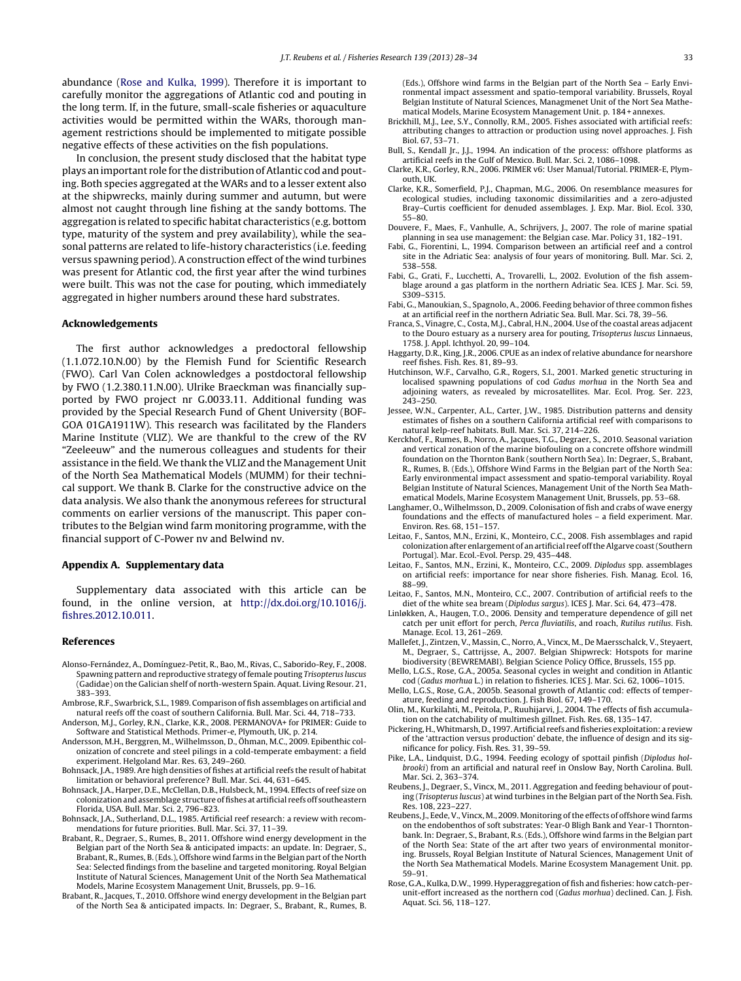<span id="page-5-0"></span>abundance (Rose and Kulka, 1999). Therefore it is important to carefully monitor the aggregations of Atlantic cod and pouting in the long term. If, in the future, small-scale fisheries or aquaculture activities would be permitted within the WARs, thorough management restrictions should be implemented to mitigate possible negative effects of these activities on the fish populations.

In conclusion, the present study disclosed that the habitat type plays animportant role for the distributionofAtlantic cod and pouting. Both species aggregated at the WARs and to a lesser extent also at the shipwrecks, mainly during summer and autumn, but were almost not caught through line fishing at the sandy bottoms. The aggregation is related to specific habitat characteristics (e.g. bottom type, maturity of the system and prey availability), while the seasonal patterns are related to life-history characteristics (i.e. feeding versus spawning period). A construction effect of the wind turbines was present for Atlantic cod, the first year after the wind turbines were built. This was not the case for pouting, which immediately aggregated in higher numbers around these hard substrates.

#### **Acknowledgements**

The first author acknowledges a predoctoral fellowship (1.1.072.10.N.00) by the Flemish Fund for Scientific Research (FWO). Carl Van Colen acknowledges a postdoctoral fellowship by FWO (1.2.380.11.N.00). Ulrike Braeckman was financially supported by FWO project nr G.0033.11. Additional funding was provided by the Special Research Fund of Ghent University (BOF-GOA 01GA1911W). This research was facilitated by the Flanders Marine Institute (VLIZ). We are thankful to the crew of the RV "Zeeleeuw" and the numerous colleagues and students for their assistance in the field. We thank the VLIZ and the Management Unit of the North Sea Mathematical Models (MUMM) for their technical support. We thank B. Clarke for the constructive advice on the data analysis. We also thank the anonymous referees for structural comments on earlier versions of the manuscript. This paper contributes to the Belgian wind farm monitoring programme, with the financial support of C-Power nv and Belwind nv.

#### **Appendix A. Supplementary data**

Supplementary data associated with this article can be found, in the online version, at [http://dx.doi.org/10.1016/j.](http://dx.doi.org/10.1016/j.fishres.2012.10.011) [fishres.2012.10.011](http://dx.doi.org/10.1016/j.fishres.2012.10.011).

#### **References**

- Alonso-Fernández, A., Domínguez-Petit, R., Bao, M., Rivas, C., Saborido-Rey, F., 2008. Spawning pattern and reproductive strategy of female pouting Trisopterus luscus (Gadidae) on the Galician shelf of north-western Spain. Aquat. Living Resour. 21, 383–393.
- Ambrose, R.F., Swarbrick, S.L., 1989. Comparison of fish assemblages on artificial and natural reefs off the coast of southern California. Bull. Mar. Sci. 44, 718–733.
- Anderson, M.J., Gorley, R.N., Clarke, K.R., 2008. PERMANOVA+ for PRIMER: Guide to Software and Statistical Methods. Primer-e, Plymouth, UK, p. 214.
- Andersson, M.H., Berggren, M., Wilhelmsson, D., Öhman, M.C., 2009. Epibenthic colonization of concrete and steel pilings in a cold-temperate embayment: a field experiment. Helgoland Mar. Res. 63, 249–260.
- Bohnsack, J.A., 1989. Are high densities of fishes at artificial reefs the result of habitat limitation or behavioral preference? Bull. Mar. Sci. 44, 631–645.
- Bohnsack, J.A., Harper, D.E., McClellan, D.B., Hulsbeck, M., 1994. Effects of reef size on colonizationandassemblage structure offishes at artificial reefs off southeastern Florida, USA. Bull. Mar. Sci. 2, 796–823.
- Bohnsack, J.A., Sutherland, D.L., 1985. Artificial reef research: a review with recommendations for future priorities. Bull. Mar. Sci. 37, 11–39.
- Brabant, R., Degraer, S., Rumes, B., 2011. Offshore wind energy development in the Belgian part of the North Sea & anticipated impacts: an update. In: Degraer, S., Brabant, R., Rumes, B. (Eds.), Offshore wind farms in the Belgian part of the North Sea: Selected findings from the baseline and targeted monitoring. Royal Belgian Institute of Natural Sciences, Management Unit of the North Sea Mathematical Models, Marine Ecosystem Management Unit, Brussels, pp. 9–16.
- Brabant, R., Jacques, T., 2010. Offshore wind energy development in the Belgian part of the North Sea & anticipated impacts. In: Degraer, S., Brabant, R., Rumes, B.

(Eds.), Offshore wind farms in the Belgian part of the North Sea – Early Environmental impact assessment and spatio-temporal variability. Brussels, Royal Belgian Institute of Natural Sciences, Managmenet Unit of the Nort Sea Mathematical Models, Marine Ecosystem Management Unit. p. 184 + annexes.

- Brickhill, M.J., Lee, S.Y., Connolly, R.M., 2005. Fishes associated with artificial reefs: attributing changes to attraction or production using novel approaches. J. Fish Biol. 67, 53–71.
- Bull, S., Kendall Jr., J.J., 1994. An indication of the process: offshore platforms as artificial reefs in the Gulf of Mexico. Bull. Mar. Sci. 2, 1086–1098.
- Clarke, K.R., Gorley, R.N., 2006. PRIMER v6: User Manual/Tutorial. PRIMER-E, Plymouth, UK.
- Clarke, K.R., Somerfield, P.J., Chapman, M.G., 2006. On resemblance measures for ecological studies, including taxonomic dissimilarities and a zero-adjusted Bray–Curtis coefficient for denuded assemblages. J. Exp. Mar. Biol. Ecol. 330, 55–80.
- Douvere, F., Maes, F., Vanhulle, A., Schrijvers, J., 2007. The role of marine spatial planning in sea use management: the Belgian case. Mar. Policy 31, 182–191.
- Fabi, G., Fiorentini, L., 1994. Comparison between an artificial reef and a control site in the Adriatic Sea: analysis of four years of monitoring. Bull. Mar. Sci. 2, 538–558.
- Fabi, G., Grati, F., Lucchetti, A., Trovarelli, L., 2002. Evolution of the fish assemblage around a gas platform in the northern Adriatic Sea. ICES J. Mar. Sci. 59, S309–S315.
- Fabi, G., Manoukian, S., Spagnolo, A., 2006. Feeding behavior of three common fishes at an artificial reef in the northern Adriatic Sea. Bull. Mar. Sci. 78, 39–56.
- Franca, S., Vinagre, C., Costa, M.J., Cabral, H.N., 2004. Use ofthe coastal areas adjacent to the Douro estuary as a nursery area for pouting, Trisopterus luscus Linnaeus, 1758. J. Appl. Ichthyol. 20, 99–104.
- Haggarty, D.R., King, J.R., 2006. CPUE as an index of relative abundance for nearshore reef fishes. Fish. Res. 81, 89–93.
- Hutchinson, W.F., Carvalho, G.R., Rogers, S.I., 2001. Marked genetic structuring in localised spawning populations of cod Gadus morhua in the North Sea and adjoining waters, as revealed by microsatellites. Mar. Ecol. Prog. Ser. 223, 243–250.
- Jessee, W.N., Carpenter, A.L., Carter, J.W., 1985. Distribution patterns and density estimates of fishes on a southern California artificial reef with comparisons to natural kelp-reef habitats. Bull. Mar. Sci. 37, 214–226.
- Kerckhof, F., Rumes, B., Norro, A., Jacques, T.G., Degraer, S., 2010. Seasonal variation and vertical zonation of the marine biofouling on a concrete offshore windmill foundation on the Thornton Bank (southern North Sea). In: Degraer, S., Brabant, R., Rumes, B. (Eds.), Offshore Wind Farms in the Belgian part of the North Sea: Early environmental impact assessment and spatio-temporal variability. Royal Belgian Institute of Natural Sciences, Management Unit of the North Sea Mathematical Models, Marine Ecosystem Management Unit, Brussels, pp. 53–68.
- Langhamer, O., Wilhelmsson, D., 2009. Colonisation of fish and crabs of wave energy foundations and the effects of manufactured holes – a field experiment. Mar. Environ. Res. 68, 151–157.
- Leitao, F., Santos, M.N., Erzini, K., Monteiro, C.C., 2008. Fish assemblages and rapid colonizationafter enlargement of anartificial reef offtheAlgarve coast(Southern Portugal). Mar. Ecol.-Evol. Persp. 29, 435–448.
- Leitao, F., Santos, M.N., Erzini, K., Monteiro, C.C., 2009. Diplodus spp. assemblages on artificial reefs: importance for near shore fisheries. Fish. Manag. Ecol. 16, 88–99.
- Leitao, F., Santos, M.N., Monteiro, C.C., 2007. Contribution of artificial reefs to the diet of the white sea bream (Diplodus sargus). ICES J. Mar. Sci. 64, 473–478.
- Linløkken, A., Haugen, T.O., 2006. Density and temperature dependence of gill net catch per unit effort for perch, Perca fluviatilis, and roach, Rutilus rutilus. Fish. Manage. Ecol. 13, 261–269.
- Mallefet, J., Zintzen, V., Massin, C., Norro, A., Vincx, M., De Maersschalck, V., Steyaert, M., Degraer, S., Cattrijsse, A., 2007. Belgian Shipwreck: Hotspots for marine biodiversity (BEWREMABI). Belgian Science Policy Office, Brussels, 155 pp.
- Mello, L.G.S., Rose, G.A., 2005a. Seasonal cycles in weight and condition in Atlantic cod (Gadus morhua L.) in relation to fisheries. ICES J. Mar. Sci. 62, 1006–1015.
- Mello, L.G.S., Rose, G.A., 2005b. Seasonal growth of Atlantic cod: effects of temperature, feeding and reproduction. J. Fish Biol. 67, 149–170.
- Olin, M., Kurkilahti, M., Peitola, P., Ruuhijarvi, J., 2004. The effects of fish accumulation on the catchability of multimesh gillnet. Fish. Res. 68, 135–147.
- Pickering, H., Whitmarsh, D., 1997. Artificial reefs and fisheries exploitation: a review of the 'attraction versus production' debate, the influence of design and its significance for policy. Fish. Res. 31, 39–59.
- Pike, L.A., Lindquist, D.G., 1994. Feeding ecology of spottail pinfish (Diplodus holbrooki) from an artificial and natural reef in Onslow Bay, North Carolina. Bull. Mar. Sci. 2, 363–374.
- Reubens, J., Degraer, S., Vincx, M., 2011. Aggregation and feeding behaviour of pouting (Trisopterus luscus) at wind turbines in the Belgian part of the North Sea. Fish. Res. 108, 223–227.
- Reubens, J., Eede, V., Vincx, M., 2009. Monitoring of the effects of offshore wind farms on the endobenthos of soft substrates: Year-0 Bligh Bank and Year-1 Thorntonbank. In: Degraer, S., Brabant, R.s. (Eds.), Offshore wind farms in the Belgian part of the North Sea: State of the art after two years of environmental monitoring. Brussels, Royal Belgian Institute of Natural Sciences, Management Unit of the North Sea Mathematical Models. Marine Ecosystem Management Unit. pp. 59–91.
- Rose, G.A., Kulka, D.W., 1999. Hyperaggregation of fish and fisheries: how catch-perunit-effort increased as the northern cod (Gadus morhua) declined. Can. J. Fish. Aquat. Sci. 56, 118–127.